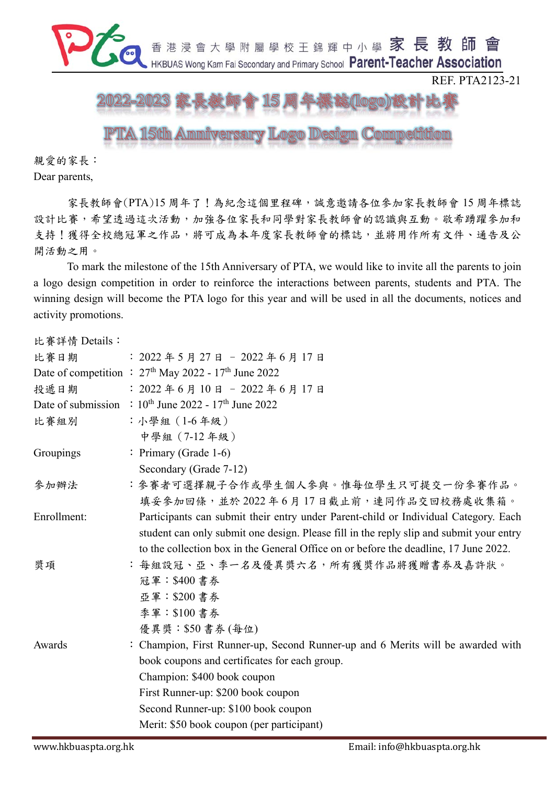

親愛的家長:

Dear parents,

家長教師會(PTA)15 周年了!為紀念這個里程碑,誠意邀請各位參加家長教師會 15 周年標誌 設計比賽,希望透過這次活動,加強各位家長和同學對家長教師會的認識與互動。敬希踴躍參加和 支持!獲得全校總冠軍之作品,將可成為本年度家長教師會的標誌,並將用作所有文件、通告及公 開活動之用。

To mark the milestone of the 15th Anniversary of PTA, we would like to invite all the parents to join a logo design competition in order to reinforce the interactions between parents, students and PTA. The winning design will become the PTA logo for this year and will be used in all the documents, notices and activity promotions.

| 比賽詳情 Details: |                                                                                         |
|---------------|-----------------------------------------------------------------------------------------|
| 比賽日期          | $: 2022 45 5 727 17 - 2022 46 7 17 17$                                                  |
|               | Date of competition : $27th$ May 2022 - $17th$ June 2022                                |
| 投遞日期          | $: 2022 46 410 4 - 2022 46 417 4$                                                       |
|               | Date of submission : $10^{th}$ June 2022 - $17^{th}$ June 2022                          |
| 比賽組別          | : 小學組 (1-6年級)                                                                           |
|               | 中學組 (7-12年級)                                                                            |
| Groupings     | : Primary (Grade 1-6)                                                                   |
|               | Secondary (Grade 7-12)                                                                  |
| 參加辦法          | :參賽者可選擇親子合作或學生個人參與。惟每位學生只可提交一份參賽作品。                                                     |
|               | 填妥參加回條,並於2022年6月17日截止前,連同作品交回校務處收集箱。                                                    |
| Enrollment:   | Participants can submit their entry under Parent-child or Individual Category. Each     |
|               | student can only submit one design. Please fill in the reply slip and submit your entry |
|               | to the collection box in the General Office on or before the deadline, 17 June 2022.    |
| 獎項            | : 每組設冠、亞、季一名及優異獎六名,所有獲獎作品將獲贈書券及嘉許狀。                                                     |
|               | 冠軍:\$400 書券                                                                             |
|               | 亞軍:\$200 書券                                                                             |
|               | 季軍:\$100 書券                                                                             |
|               | 優異獎: \$50 書券 (每位)                                                                       |
| Awards        | : Champion, First Runner-up, Second Runner-up and 6 Merits will be awarded with         |
|               | book coupons and certificates for each group.                                           |
|               | Champion: \$400 book coupon                                                             |
|               | First Runner-up: \$200 book coupon                                                      |
|               | Second Runner-up: \$100 book coupon                                                     |
|               | Merit: \$50 book coupon (per participant)                                               |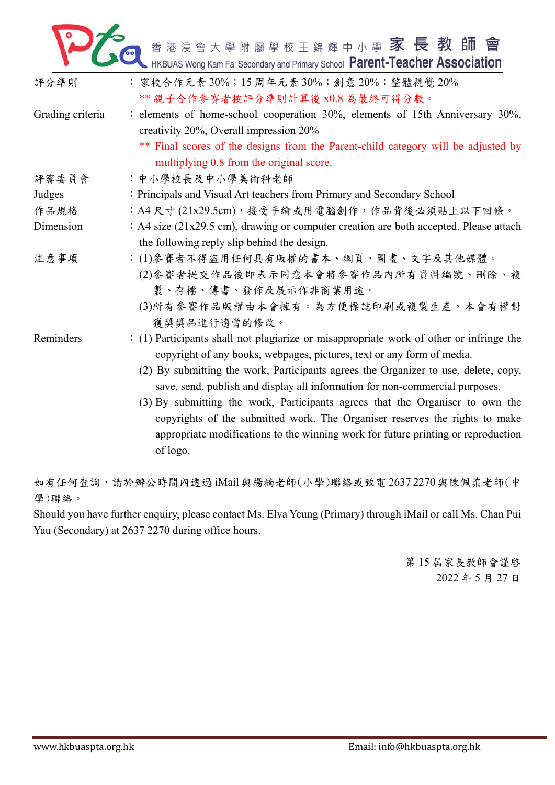

| 評分準則             | : 家校合作元素 30%; 15 周年元素 30%; 創意 20%; 整體視覺 20%<br>** 親子合作參賽者按評分準則計算後 x0.8 為最終可得分數。                                                                                                                                                                                                                                                                                                                                                                                                                                                                                                                           |  |  |
|------------------|-----------------------------------------------------------------------------------------------------------------------------------------------------------------------------------------------------------------------------------------------------------------------------------------------------------------------------------------------------------------------------------------------------------------------------------------------------------------------------------------------------------------------------------------------------------------------------------------------------------|--|--|
| Grading criteria | : elements of home-school cooperation 30%, elements of 15th Anniversary 30%,<br>creativity 20%, Overall impression 20%<br>** Final scores of the designs from the Parent-child category will be adjusted by<br>multiplying 0.8 from the original score.                                                                                                                                                                                                                                                                                                                                                   |  |  |
| 評審委員會            | :中小學校長及中小學美術科老師                                                                                                                                                                                                                                                                                                                                                                                                                                                                                                                                                                                           |  |  |
| Judges           | : Principals and Visual Art teachers from Primary and Secondary School                                                                                                                                                                                                                                                                                                                                                                                                                                                                                                                                    |  |  |
| 作品規格             | :A4尺寸(21x29.5cm),接受手繪或用電腦創作,作品背後必須貼上以下回條。                                                                                                                                                                                                                                                                                                                                                                                                                                                                                                                                                                 |  |  |
| Dimension        | : A4 size (21x29.5 cm), drawing or computer creation are both accepted. Please attach<br>the following reply slip behind the design.                                                                                                                                                                                                                                                                                                                                                                                                                                                                      |  |  |
| 注意事項             | : (1)參賽者不得盜用任何具有版權的書本、網頁、圖畫、文字及其他媒體。<br>(2) 參賽者提交作品後即表示同意本會將參賽作品內所有資料編號、刪除、複<br>製、存檔、傳書、發佈及展示作非商業用途。<br>(3)所有參賽作品版權由本會擁有。為方便標誌印刷或複製生產,本會有權對<br>獲獎獎品進行適當的修改。                                                                                                                                                                                                                                                                                                                                                                                                                                               |  |  |
| Reminders        | : (1) Participants shall not plagiarize or misappropriate work of other or infringe the<br>copyright of any books, webpages, pictures, text or any form of media.<br>(2) By submitting the work, Participants agrees the Organizer to use, delete, copy,<br>save, send, publish and display all information for non-commercial purposes.<br>(3) By submitting the work, Participants agrees that the Organiser to own the<br>copyrights of the submitted work. The Organiser reserves the rights to make<br>appropriate modifications to the winning work for future printing or reproduction<br>of logo. |  |  |

如有任何查詢,請於辦公時間內透過 iMail 與楊楠老師(小學)聯絡或致電 2637 2270 與陳佩柔老師(中 學)聯絡。

Should you have further enquiry, please contact Ms. Elva Yeung (Primary) through iMail or call Ms. Chan Pui Yau (Secondary) at 2637 2270 during office hours.

> 第 15 屆家長教師會謹啓 2022 年 5 月 27 日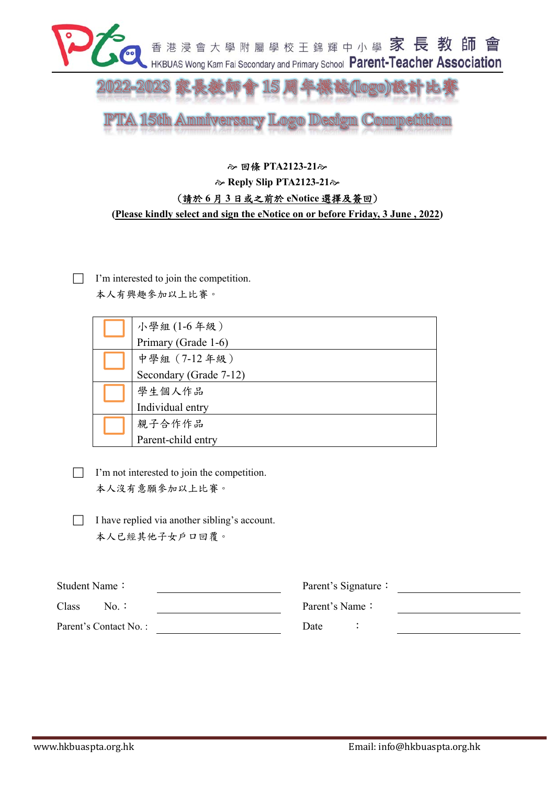

**TA 15th Ammiversary Logo Design Competition** 

## $\approx$  回條 PTA2123-21 $\approx$  $\approx$  **Reply Slip PTA2123-21** $\approx$ (請於 **6** 月 **3** 日或之前於 **eNotice** 選擇及簽回) **(Please kindly select and sign the eNotice on or before Friday, 3 June , 2022)**

 I'm interested to join the competition. 本人有興趣參加以上比賽。

| 小學組(1-6年級)             |
|------------------------|
| Primary (Grade 1-6)    |
| 中學組 (7-12年級)           |
| Secondary (Grade 7-12) |
| 學生個人作品                 |
| Individual entry       |
| 親子合作作品                 |
| Parent-child entry     |

- I'm not interested to join the competition. 本人沒有意願參加以上比賽。
- $\Box$  I have replied via another sibling's account. 本人已經其他子女戶口回覆。

| Student Name:         | Parent's Signature: |  |  |
|-----------------------|---------------------|--|--|
| Class<br>No.:         | Parent's Name:      |  |  |
| Parent's Contact No.: | Date                |  |  |